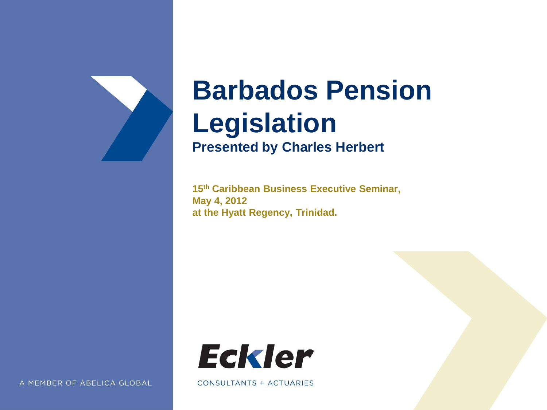

### **Barbados Pension Legislation Presented by Charles Herbert**

**15th Caribbean Business Executive Seminar, May 4, 2012 at the Hyatt Regency, Trinidad.**



CONSULTANTS + ACTUARIES

A MEMBER OF ABELICA GLOBAL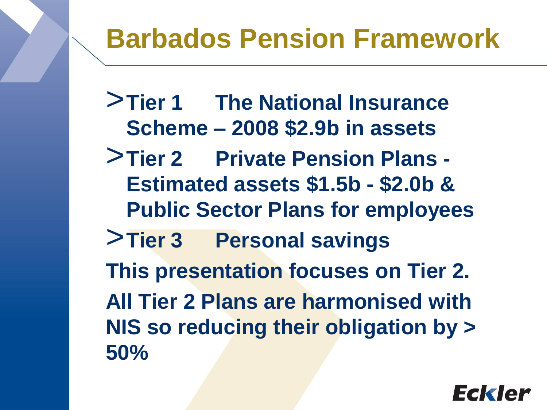# **Barbados Pension Framework**

>**Tier 1 The National Insurance Scheme – 2008 \$2.9b in assets**

- >**Tier 2 Private Pension Plans - Estimated assets \$1.5b - \$2.0b & Public Sector Plans for employees**
- >**Tier 3 Personal savings This presentation focuses on Tier 2. All Tier 2 Plans are harmonised with NIS so reducing their obligation by >**

**50%**

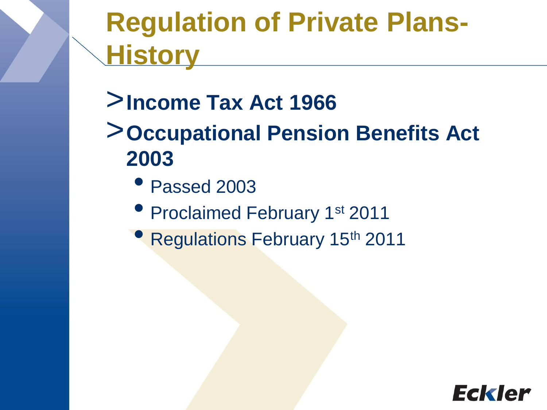# **Regulation of Private Plans-History**

- >**Income Tax Act 1966**
- >**Occupational Pension Benefits Act 2003**
	- Passed 2003
	- Proclaimed February 1<sup>st</sup> 2011
	- Regulations February 15th 2011

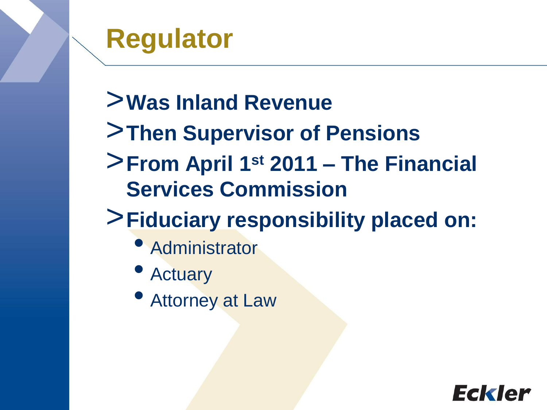### **Regulator**

- >**Was Inland Revenue**
- >**Then Supervisor of Pensions**
- >**From April 1st 2011 – The Financial Services Commission**

### >**Fiduciary responsibility placed on:**

- Administrator
- Actuary
- Attorney at Law

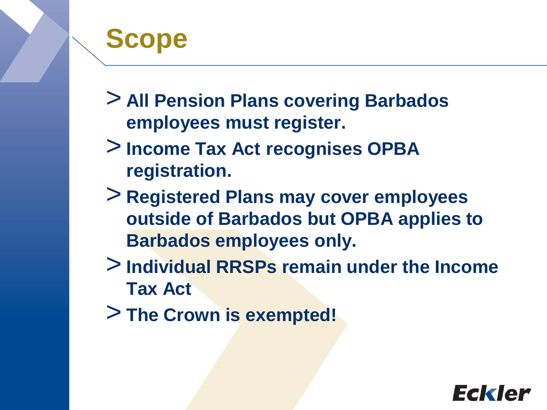# **Scope**

> **All Pension Plans covering Barbados employees must register.**

- > **Income Tax Act recognises OPBA registration.**
- > **Registered Plans may cover employees outside of Barbados but OPBA applies to Barbados employees only.**
- > **Individual RRSPs remain under the Income Tax Act**
- > **The Crown is exempted!**

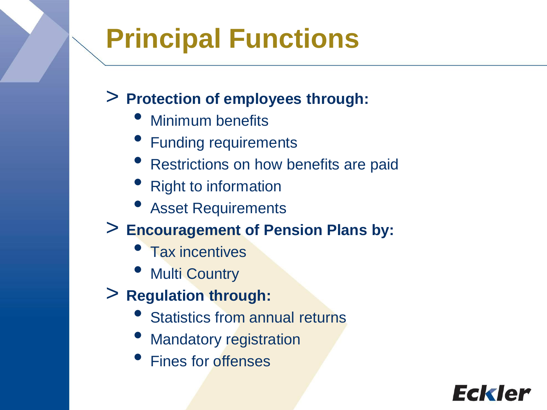# **Principal Functions**

#### > **Protection of employees through:**

- Minimum benefits
- Funding requirements
- Restrictions on how benefits are paid
- Right to information
- **Asset Requirements**
- > **Encouragement of Pension Plans by:**
	- Tax incentives
	- **Multi Country**
- > **Regulation through:**
	- **Statistics from annual returns**
	- **Mandatory registration**
	- Fines for offenses

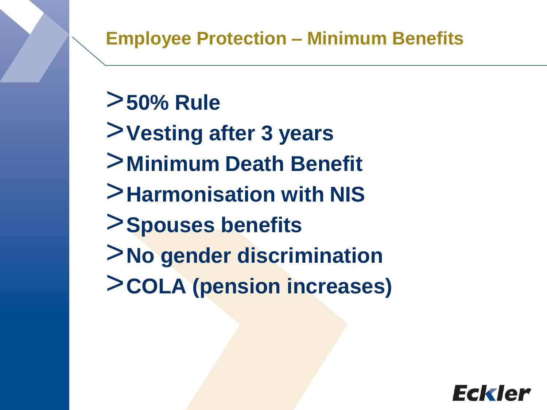#### >**50% Rule**

- >**Vesting after 3 years**
- >**Minimum Death Benefit**
- >**Harmonisation with NIS**
- >**Spouses benefits**
- >**No gender discrimination**
- >**COLA (pension increases)**

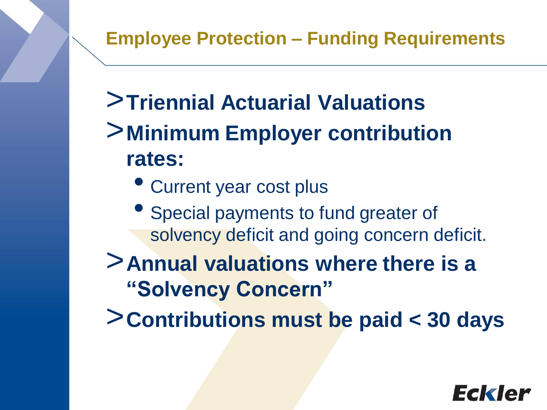- >**Triennial Actuarial Valuations**
- >**Minimum Employer contribution rates:**
	- Current year cost plus
	- Special payments to fund greater of solvency deficit and going concern deficit.
- >**Annual valuations where there is a "Solvency Concern"**
- >**Contributions must be paid < 30 days**

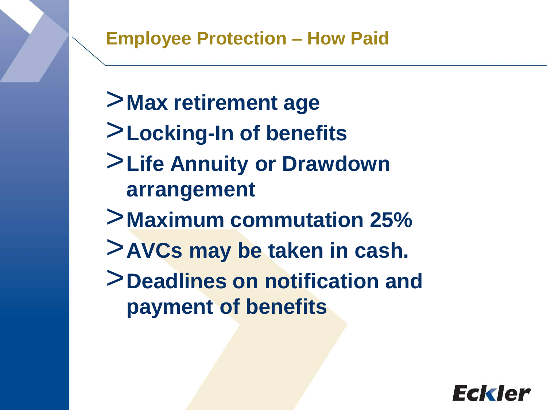- >**Max retirement age**
- >**Locking-In of benefits**
- >**Life Annuity or Drawdown arrangement**
- >**Maximum commutation 25%**
- >**AVCs may be taken in cash.**
- >**Deadlines on notification and payment of benefits**

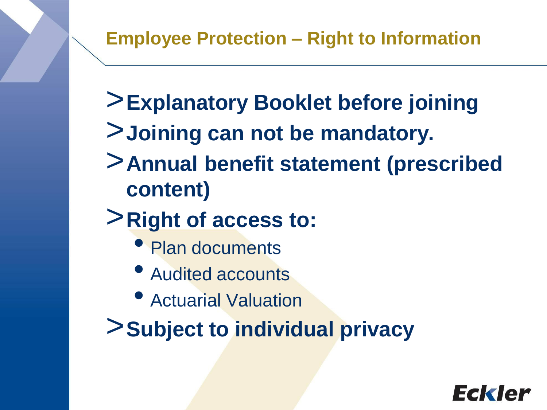- >**Explanatory Booklet before joining**
- >**Joining can not be mandatory.**
- >**Annual benefit statement (prescribed content)**
- >**Right of access to:**
	- Plan documents
	- Audited accounts
	- Actuarial Valuation
- >**Subject to individual privacy**

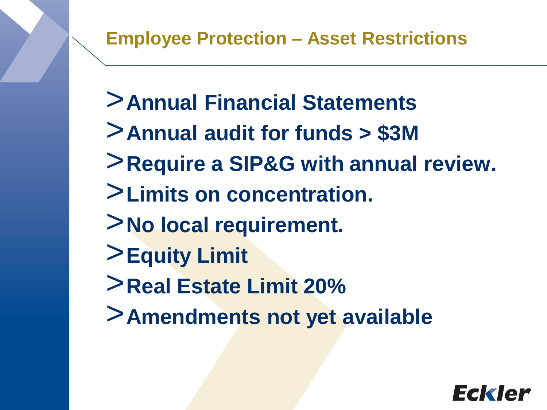- >**Annual Financial Statements**
- >**Annual audit for funds > \$3M**
- >**Require a SIP&G with annual review.**
- >**Limits on concentration.**
- >**No local requirement.**
- >**Equity Limit**
- >**Real Estate Limit 20%**
- >**Amendments not yet available**

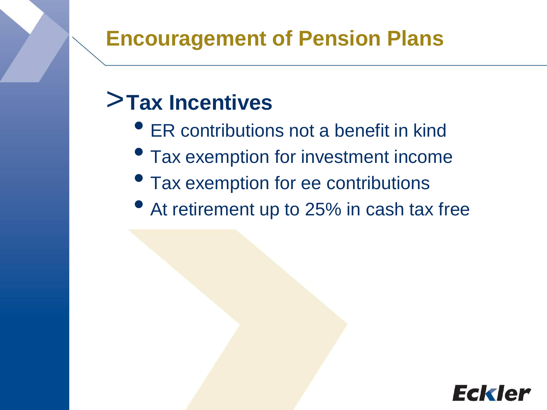#### **Encouragement of Pension Plans**

#### >**Tax Incentives**

- ER contributions not a benefit in kind
- Tax exemption for investment income
- Tax exemption for ee contributions
- At retirement up to 25% in cash tax free

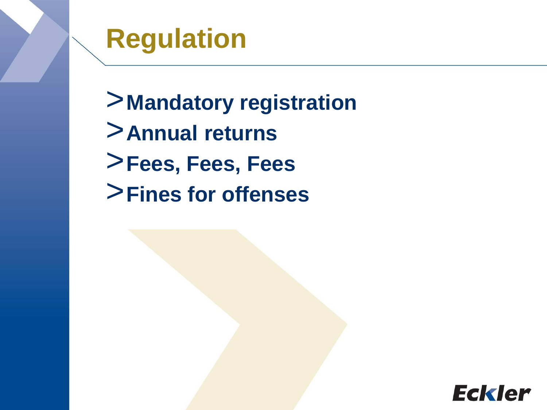**Regulation** 

>**Mandatory registration** >**Annual returns** >**Fees, Fees, Fees** >**Fines for offenses**

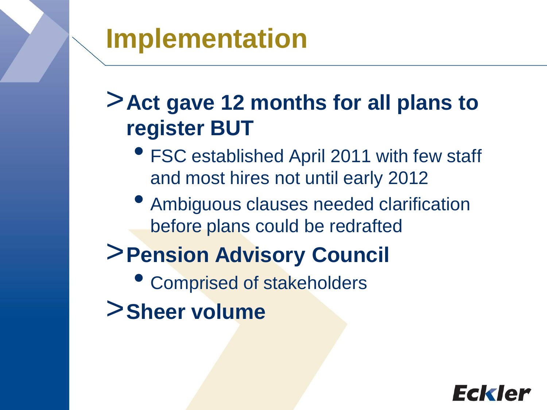# **Implementation**

#### >**Act gave 12 months for all plans to register BUT**

- FSC established April 2011 with few staff and most hires not until early 2012
- Ambiguous clauses needed clarification before plans could be redrafted

### >**Pension Advisory Council**

- Comprised of stakeholders
- >**Sheer volume**